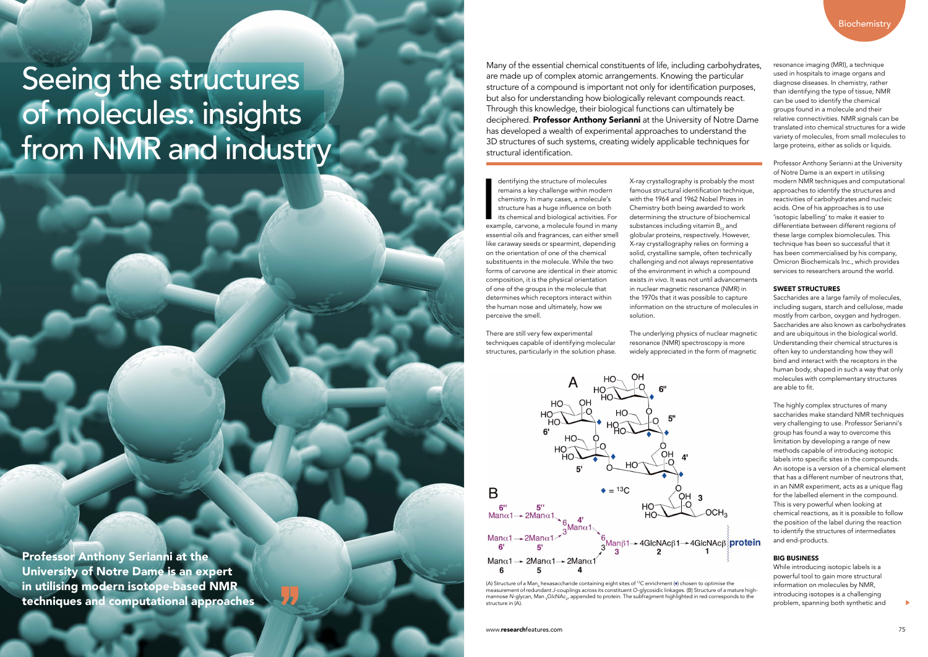Many of the essential chemical constituents of life, including carbohydrates, are made up of complex atomic arrangements. Knowing the particular structure of a compound is important not only for identification purposes, but also for understanding how biologically relevant compounds react. Through this knowledge, their biological functions can ultimately be deciphered. **Professor Anthony Serianni** at the University of Notre Dame has developed a wealth of experimental approaches to understand the 3D structures of such systems, creating widely applicable techniques for structural identification.

resonance imaging (MRI), a technique used in hospitals to image organs and diagnose diseases. In chemistry, rather than identifying the type of tissue, NMR can be used to identify the chemical groups found in a molecule and their relative connectivities. NMR signals can be translated into chemical structures for a wide variety of molecules, from small molecules to large proteins, either as solids or liquids.

Saccharides are a large family of molecules, including sugars, starch and cellulose, made mostly from carbon, oxygen and hydrogen. Saccharides are also known as carbohydrates and are ubiquitous in the biological world. Understanding their chemical structures is often key to understanding how they will bind and interact with the receptors in the human body, shaped in such a way that only molecules with complementary structures are able to fit.

Professor Anthony Serianni at the University of Notre Dame is an expert in utilising modern NMR techniques and computational approaches to identify the structures and reactivities of carbohydrates and nucleic acids. One of his approaches is to use 'isotopic labelling' to make it easier to differentiate between different regions of these large complex biomolecules. This technique has been so successful that it has been commercialised by his company, Omicron Biochemicals Inc., which provides services to researchers around the world.

The highly complex structures of many saccharides make standard NMR techniques very challenging to use. Professor Serianni's group has found a way to overcome this limitation by developing a range of new methods capable of introducing isotopic labels into specific sites in the compounds. An isotope is a version of a chemical element that has a different number of neutrons that, in an NMR experiment, acts as a unique flag for the labelled element in the compound. This is very powerful when looking at chemical reactions, as it is possible to follow the position of the label during the reaction to identify the structures of intermediates and end-products.

### SWEET STRUCTURES

dentifying the structure of molecules<br>remains a key challenge within modern<br>chemistry. In many cases, a molecule's<br>structure has a huge influence on both<br>its chemical and biological activities. For<br>example, carvone, a mole dentifying the structure of molecules remains a key challenge within modern chemistry. In many cases, a molecule's structure has a huge influence on both its chemical and biological activities. For essential oils and fragrances, can either smell like caraway seeds or spearmint, depending on the orientation of one of the chemical substituents in the molecule. While the two forms of carvone are identical in their atomic composition, it is the physical orientation of one of the groups in the molecule that determines which receptors interact within the human nose and ultimately, how we perceive the smell.

(A) Structure of a Man<sub>6</sub> hexasaccharide containing eight sites of <sup>13</sup>C enrichment (♦) chosen to optimise the measurement of redundant *J*-couplings across its constituent *O*-glycosidic linkages. (B) Structure of a mature highmannose *N*-glycan, Man <sub>9</sub>GlcNAc<sub>2</sub>, appended to protein. The subfragment highlighted in red corresponds to the structure in (A).

### BIG BUSINESS

While introducing isotopic labels is a powerful tool to gain more structural information on molecules by NMR, introducing isotopes is a challenging problem, spanning both synthetic and

Professor Anthony Serianni at the University of Notre Dame is an expert in utilising modern isotope-based NMR techniques and computational approaches There are still very few experimental techniques capable of identifying molecular structures, particularly in the solution phase. X-ray crystallography is probably the most famous structural identification technique, with the 1964 and 1962 Nobel Prizes in Chemistry both being awarded to work determining the structure of biochemical substances including vitamin  $B_{12}$  and globular proteins, respectively. However, X-ray crystallography relies on forming a solid, crystalline sample, often technically challenging and not always representative of the environment in which a compound exists *in vivo*. It was not until advancements in nuclear magnetic resonance (NMR) in the 1970s that it was possible to capture information on the structure of molecules in solution.

The underlying physics of nuclear magnetic resonance (NMR) spectroscopy is more widely appreciated in the form of magnetic



# Seeing the structures of molecules: insights from NMR and industry

www.researchfeatures.com